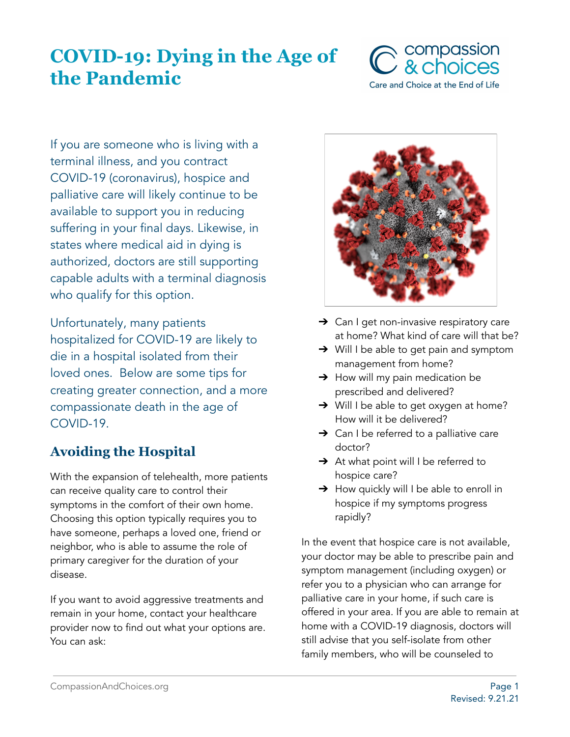# **COVID-19: Dying in the Age of the Pandemic**



If you are someone who is living with a terminal illness, and you contract COVID-19 (coronavirus), hospice and palliative care will likely continue to be available to support you in reducing suffering in your final days. Likewise, in states where medical aid in dying is authorized, doctors are still supporting capable adults with a terminal diagnosis who qualify for this option.

Unfortunately, many patients hospitalized for COVID-19 are likely to die in a hospital isolated from their loved ones. Below are some tips for creating greater connection, and a more compassionate death in the age of COVID-19.

# **Avoiding the Hospital**

With the expansion of telehealth, more patients can receive quality care to control their symptoms in the comfort of their own home. Choosing this option typically requires you to have someone, perhaps a loved one, friend or neighbor, who is able to assume the role of primary caregiver for the duration of your disease.

If you want to avoid aggressive treatments and remain in your home, contact your healthcare provider now to find out what your options are. You can ask:



- **→** Can I get non-invasive respiratory care at home? What kind of care will that be?
- **→** Will I be able to get pain and symptom management from home?
- $\rightarrow$  How will my pain medication be prescribed and delivered?
- → Will I be able to get oxygen at home? How will it be delivered?
- $\rightarrow$  Can I be referred to a palliative care doctor?
- → At what point will I be referred to hospice care?
- → How quickly will I be able to enroll in hospice if my symptoms progress rapidly?

In the event that hospice care is not available, your doctor may be able to prescribe pain and symptom management (including oxygen) or refer you to a physician who can arrange for palliative care in your home, if such care is offered in your area. If you are able to remain at home with a COVID-19 diagnosis, doctors will still advise that you self-isolate from other family members, who will be counseled to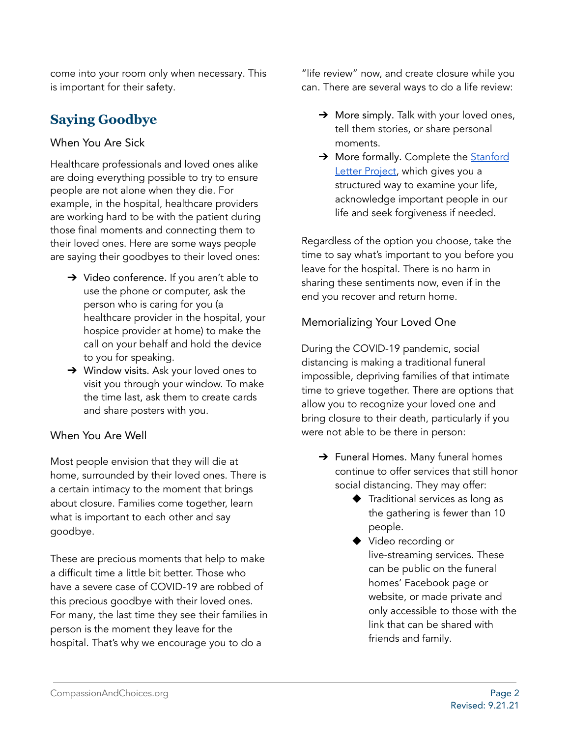come into your room only when necessary. This is important for their safety.

# **Saying Goodbye**

### When You Are Sick

Healthcare professionals and loved ones alike are doing everything possible to try to ensure people are not alone when they die. For example, in the hospital, healthcare providers are working hard to be with the patient during those final moments and connecting them to their loved ones. Here are some ways people are saying their goodbyes to their loved ones:

- → Video conference. If you aren't able to use the phone or computer, ask the person who is caring for you (a healthcare provider in the hospital, your hospice provider at home) to make the call on your behalf and hold the device to you for speaking.
- ➔ Window visits. Ask your loved ones to visit you through your window. To make the time last, ask them to create cards and share posters with you.

## When You Are Well

Most people envision that they will die at home, surrounded by their loved ones. There is a certain intimacy to the moment that brings about closure. Families come together, learn what is important to each other and say goodbye.

These are precious moments that help to make a difficult time a little bit better. Those who have a severe case of COVID-19 are robbed of this precious goodbye with their loved ones. For many, the last time they see their families in person is the moment they leave for the hospital. That's why we encourage you to do a

"life review" now, and create closure while you can. There are several ways to do a life review:

- $\rightarrow$  More simply. Talk with your loved ones, tell them stories, or share personal moments.
- → More formally. Complete the [Stanford](https://med.stanford.edu/letter.html) Letter [Project,](https://med.stanford.edu/letter.html) which gives you a structured way to examine your life, acknowledge important people in our life and seek forgiveness if needed.

Regardless of the option you choose, take the time to say what's important to you before you leave for the hospital. There is no harm in sharing these sentiments now, even if in the end you recover and return home.

## Memorializing Your Loved One

During the COVID-19 pandemic, social distancing is making a traditional funeral impossible, depriving families of that intimate time to grieve together. There are options that allow you to recognize your loved one and bring closure to their death, particularly if you were not able to be there in person:

- → Funeral Homes. Many funeral homes continue to offer services that still honor social distancing. They may offer:
	- ◆ Traditional services as long as the gathering is fewer than 10 people.
	- ◆ Video recording or live-streaming services. These can be public on the funeral homes' Facebook page or website, or made private and only accessible to those with the link that can be shared with friends and family.